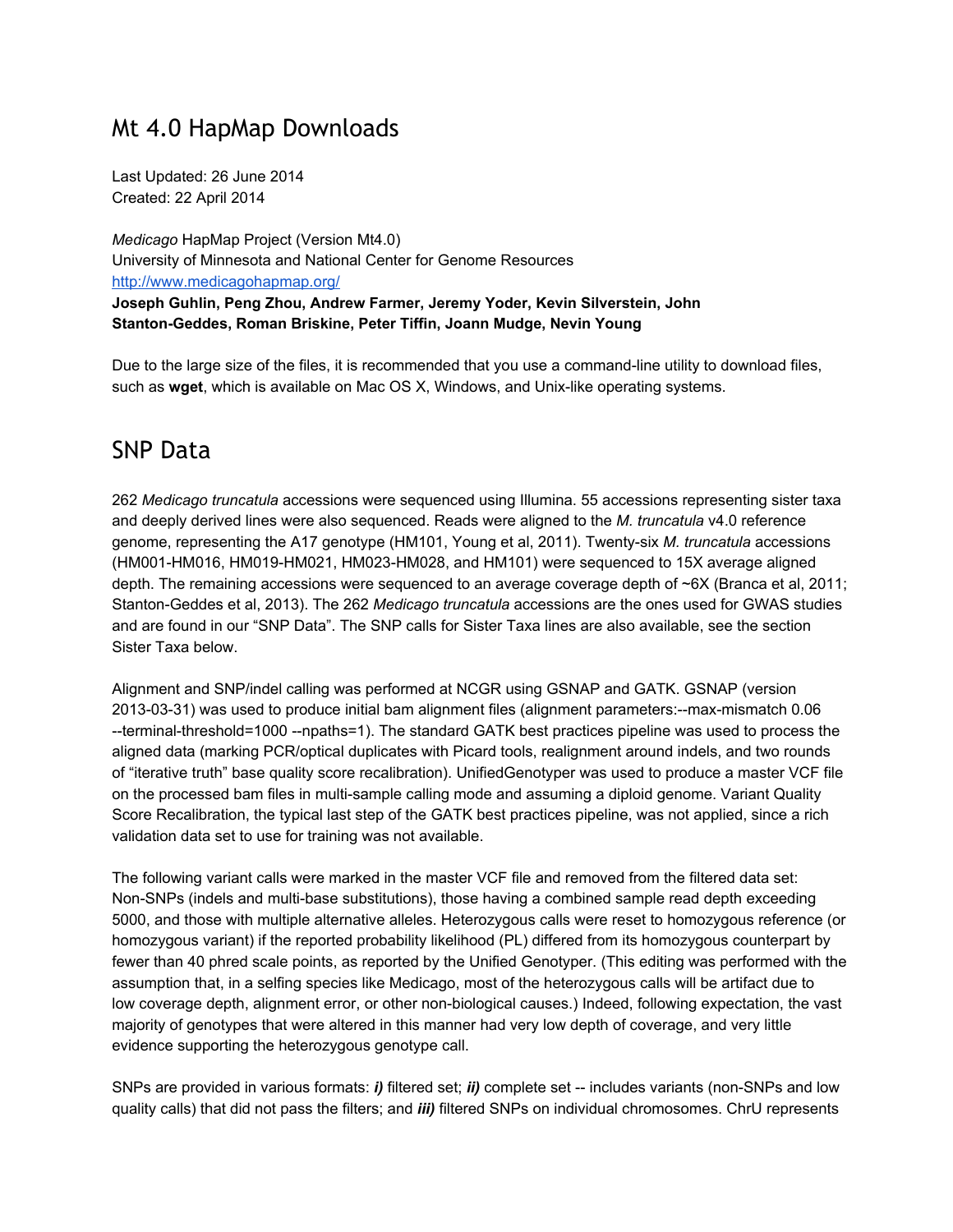#### Mt 4.0 HapMap Downloads

Last Updated: 26 June 2014 Created: 22 April 2014

*Medicago* HapMap Project (Version Mt4.0) University of Minnesota and National Center for Genome Resources [http://www.medicagohapmap.org/](http://www.google.com/url?q=http%3A%2F%2Fwww.medicagohapmap.org%2F&sa=D&sntz=1&usg=AFQjCNFg-wvufUMGMsC5YPwQPNqBt9ys7w) **Joseph Guhlin, Peng Zhou, Andrew Farmer, Jeremy Yoder, Kevin Silverstein, John StantonGeddes, Roman Briskine, Peter Tiffin, Joann Mudge, Nevin Young**

Due to the large size of the files, it is recommended that you use a command-line utility to download files, such as **wget**, which is available on Mac OS X, Windows, and Unix-like operating systems.

#### SNP Data

262 *Medicago truncatula* accessions were sequenced using Illumina. 55 accessions representing sister taxa and deeply derived lines were also sequenced. Reads were aligned to the *M. truncatula* v4.0 reference genome, representing the A17 genotype (HM101, Young et al, 2011). Twenty-six *M. truncatula* accessions (HM001-HM016, HM019-HM021, HM023-HM028, and HM101) were sequenced to 15X average aligned depth. The remaining accessions were sequenced to an average coverage depth of ~6X (Branca et al, 2011; StantonGeddes et al, 2013). The 262 *Medicago truncatula* accessions are the ones used for GWAS studies and are found in our "SNP Data". The SNP calls for Sister Taxa lines are also available, see the section Sister Taxa below.

Alignment and SNP/indel calling was performed at NCGR using GSNAP and GATK. GSNAP (version 2013-03-31) was used to produce initial bam alignment files (alignment parameters:--max-mismatch 0.06 --terminal-threshold=1000 --npaths=1). The standard GATK best practices pipeline was used to process the aligned data (marking PCR/optical duplicates with Picard tools, realignment around indels, and two rounds of "iterative truth" base quality score recalibration). UnifiedGenotyper was used to produce a master VCF file on the processed bam files in multi-sample calling mode and assuming a diploid genome. Variant Quality Score Recalibration, the typical last step of the GATK best practices pipeline, was not applied, since a rich validation data set to use for training was not available.

The following variant calls were marked in the master VCF file and removed from the filtered data set: Non-SNPs (indels and multi-base substitutions), those having a combined sample read depth exceeding 5000, and those with multiple alternative alleles. Heterozygous calls were reset to homozygous reference (or homozygous variant) if the reported probability likelihood (PL) differed from its homozygous counterpart by fewer than 40 phred scale points, as reported by the Unified Genotyper. (This editing was performed with the assumption that, in a selfing species like Medicago, most of the heterozygous calls will be artifact due to low coverage depth, alignment error, or other non-biological causes.) Indeed, following expectation, the vast majority of genotypes that were altered in this manner had very low depth of coverage, and very little evidence supporting the heterozygous genotype call.

SNPs are provided in various formats: *i*) filtered set; *ii*) complete set -- includes variants (non-SNPs and low quality calls) that did not pass the filters; and *iii)* filtered SNPs on individual chromosomes. ChrU represents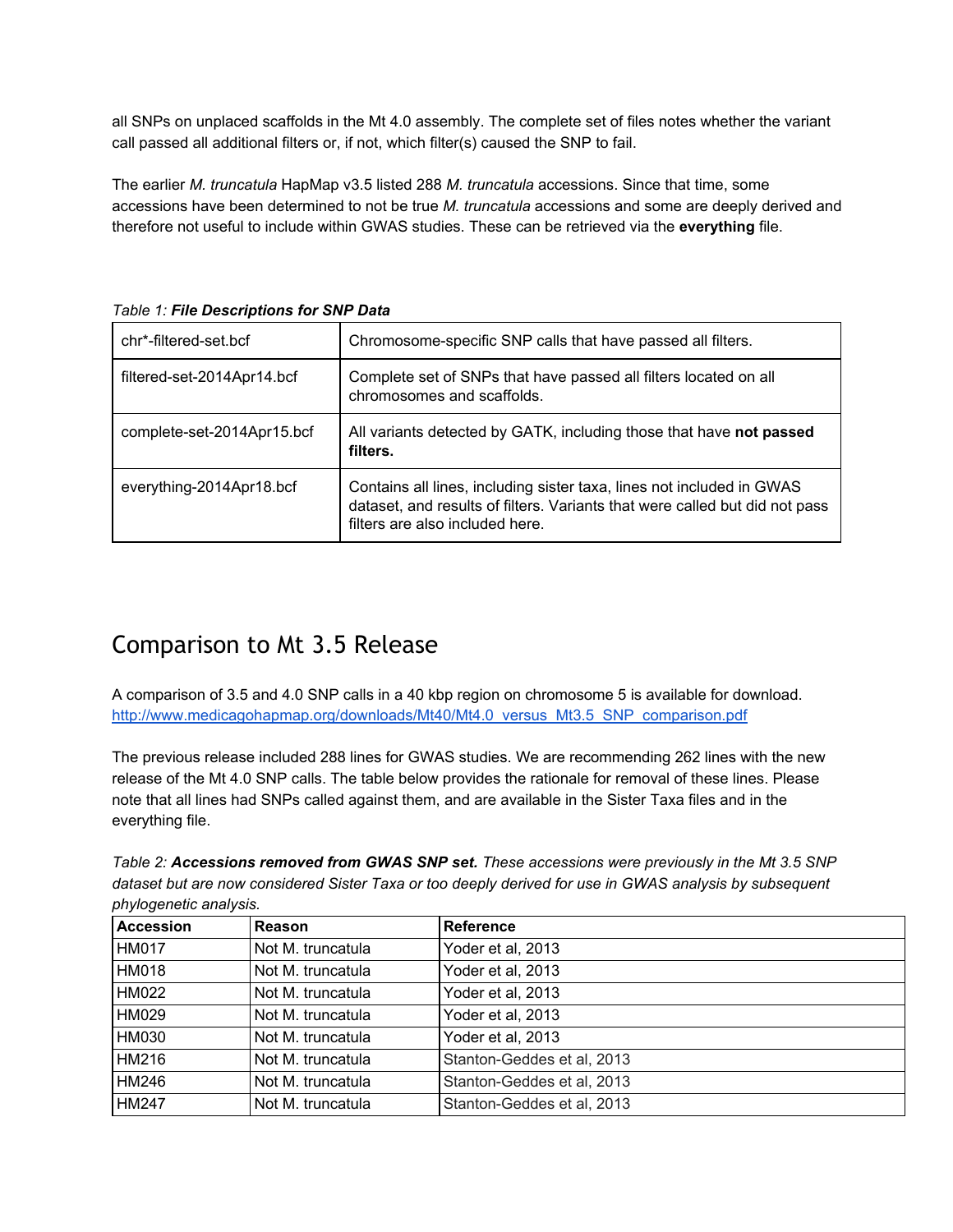all SNPs on unplaced scaffolds in the Mt 4.0 assembly. The complete set of files notes whether the variant call passed all additional filters or, if not, which filter(s) caused the SNP to fail.

The earlier *M. truncatula* HapMap v3.5 listed 288 *M. truncatula* accessions. Since that time, some accessions have been determined to not be true *M. truncatula* accessions and some are deeply derived and therefore not useful to include within GWAS studies. These can be retrieved via the **everything** file.

| chr*-filtered-set.bcf      | Chromosome-specific SNP calls that have passed all filters.                                                                                                                             |
|----------------------------|-----------------------------------------------------------------------------------------------------------------------------------------------------------------------------------------|
| filtered-set-2014Apr14.bcf | Complete set of SNPs that have passed all filters located on all<br>chromosomes and scaffolds.                                                                                          |
| complete-set-2014Apr15.bcf | All variants detected by GATK, including those that have not passed<br>filters.                                                                                                         |
| everything-2014Apr18.bcf   | Contains all lines, including sister taxa, lines not included in GWAS<br>dataset, and results of filters. Variants that were called but did not pass<br>filters are also included here. |

*Table 1: File Descriptions for SNP Data*

## Comparison to Mt 3.5 Release

A comparison of 3.5 and 4.0 SNP calls in a 40 kbp region on chromosome 5 is available for download. [http://www.medicagohapmap.org/downloads/Mt40/Mt4.0\\_versus\\_Mt3.5\\_SNP\\_comparison.pdf](http://www.google.com/url?q=http%3A%2F%2Fwww.medicagohapmap.org%2Fdownloads%2FMt40%2FMt4.0_versus_Mt3.5_SNP_comparison.pdf&sa=D&sntz=1&usg=AFQjCNFOQcmBprplh_k_zwkEliCsSeyWPw)

The previous release included 288 lines for GWAS studies. We are recommending 262 lines with the new release of the Mt 4.0 SNP calls. The table below provides the rationale for removal of these lines. Please note that all lines had SNPs called against them, and are available in the Sister Taxa files and in the everything file.

*Table 2: Accessions removed from GWAS SNP set. These accessions were previously in the Mt 3.5 SNP* dataset but are now considered Sister Taxa or too deeply derived for use in GWAS analysis by subsequent *phylogenetic analysis.*

| <b>Accession</b> | <b>Reason</b>     | <b>Reference</b>           |
|------------------|-------------------|----------------------------|
| <b>HM017</b>     | Not M. truncatula | Yoder et al, 2013          |
| <b>HM018</b>     | Not M. truncatula | Yoder et al, 2013          |
| <b>HM022</b>     | Not M. truncatula | Yoder et al, 2013          |
| <b>HM029</b>     | Not M. truncatula | Yoder et al, 2013          |
| <b>HM030</b>     | Not M. truncatula | Yoder et al, 2013          |
| <b>HM216</b>     | Not M. truncatula | Stanton-Geddes et al, 2013 |
| HM246            | Not M. truncatula | Stanton-Geddes et al, 2013 |
| <b>HM247</b>     | Not M. truncatula | Stanton-Geddes et al, 2013 |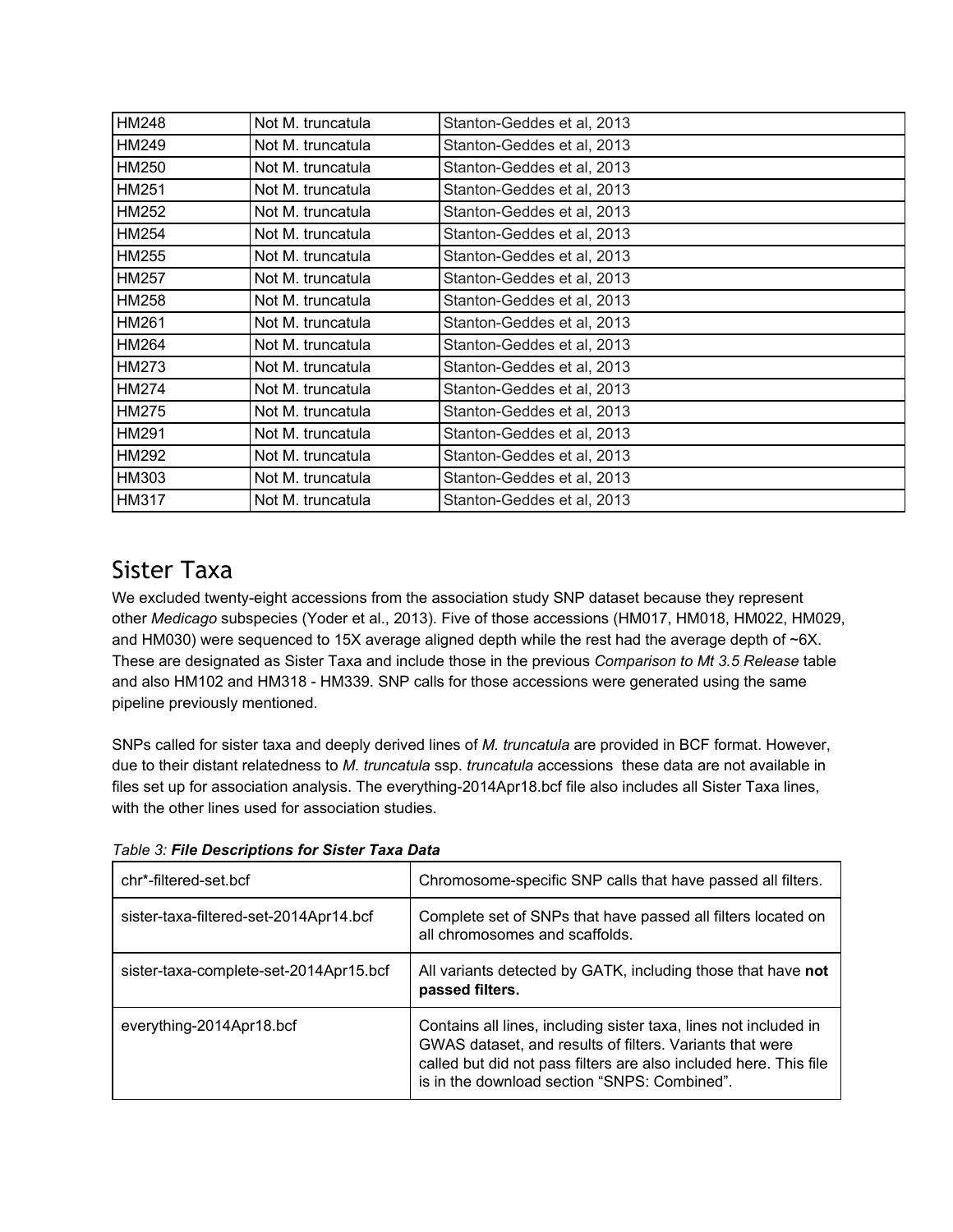| HM248        | Not M. truncatula | Stanton-Geddes et al, 2013 |
|--------------|-------------------|----------------------------|
| HM249        | Not M. truncatula | Stanton-Geddes et al, 2013 |
| HM250        | Not M. truncatula | Stanton-Geddes et al, 2013 |
| HM251        | Not M. truncatula | Stanton-Geddes et al, 2013 |
| HM252        | Not M. truncatula | Stanton-Geddes et al, 2013 |
| HM254        | Not M. truncatula | Stanton-Geddes et al, 2013 |
| HM255        | Not M. truncatula | Stanton-Geddes et al, 2013 |
| <b>HM257</b> | Not M. truncatula | Stanton-Geddes et al, 2013 |
| <b>HM258</b> | Not M. truncatula | Stanton-Geddes et al, 2013 |
| HM261        | Not M. truncatula | Stanton-Geddes et al, 2013 |
| HM264        | Not M. truncatula | Stanton-Geddes et al, 2013 |
| HM273        | Not M. truncatula | Stanton-Geddes et al, 2013 |
| <b>HM274</b> | Not M. truncatula | Stanton-Geddes et al, 2013 |
| <b>HM275</b> | Not M. truncatula | Stanton-Geddes et al, 2013 |
| HM291        | Not M. truncatula | Stanton-Geddes et al, 2013 |
| HM292        | Not M. truncatula | Stanton-Geddes et al, 2013 |
| HM303        | Not M. truncatula | Stanton-Geddes et al, 2013 |
| <b>HM317</b> | Not M. truncatula | Stanton-Geddes et al, 2013 |

# Sister Taxa

We excluded twenty-eight accessions from the association study SNP dataset because they represent other *Medicago* subspecies (Yoder et al., 2013). Five of those accessions (HM017, HM018, HM022, HM029, and HM030) were sequenced to 15X average aligned depth while the rest had the average depth of ~6X. These are designated as Sister Taxa and include those in the previous *Comparison to Mt 3.5 Release* table and also HM102 and HM318 - HM339. SNP calls for those accessions were generated using the same pipeline previously mentioned.

SNPs called for sister taxa and deeply derived lines of *M. truncatula* are provided in BCF format. However, due to their distant relatedness to *M. truncatula* ssp. *truncatula* accessions these data are not available in files set up for association analysis. The everything-2014Apr18.bcf file also includes all Sister Taxa lines, with the other lines used for association studies.

*Table 3: File Descriptions for Sister Taxa Data*

| chr*-filtered-set.bcf                  | Chromosome-specific SNP calls that have passed all filters.                                                                                                                                                                                       |
|----------------------------------------|---------------------------------------------------------------------------------------------------------------------------------------------------------------------------------------------------------------------------------------------------|
| sister-taxa-filtered-set-2014Apr14.bcf | Complete set of SNPs that have passed all filters located on<br>all chromosomes and scaffolds.                                                                                                                                                    |
| sister-taxa-complete-set-2014Apr15.bcf | All variants detected by GATK, including those that have not<br>passed filters.                                                                                                                                                                   |
| everything-2014Apr18.bcf               | Contains all lines, including sister taxa, lines not included in<br>GWAS dataset, and results of filters. Variants that were<br>called but did not pass filters are also included here. This file<br>is in the download section "SNPS: Combined". |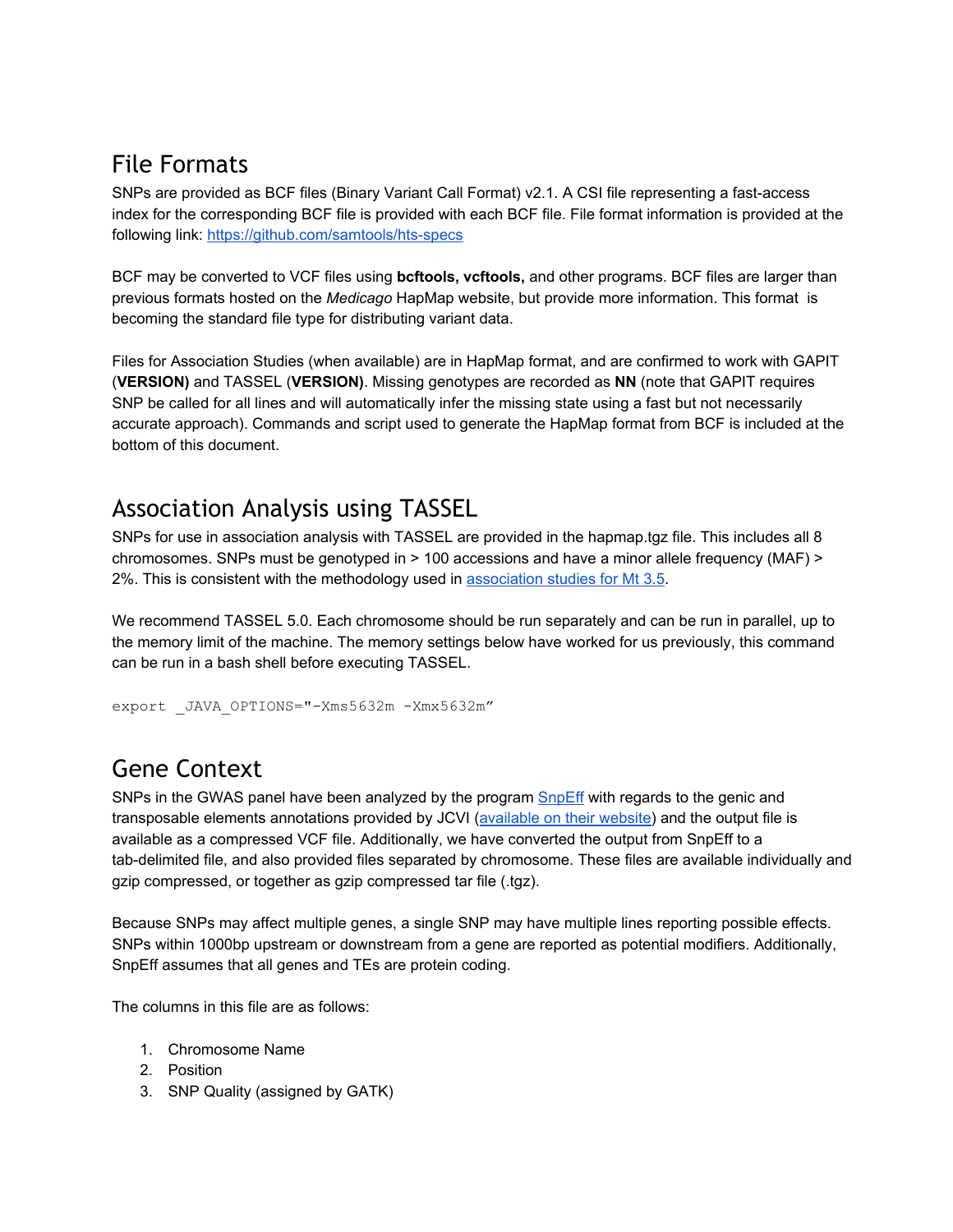## File Formats

SNPs are provided as BCF files (Binary Variant Call Format) v2.1. A CSI file representing a fast-access index for the corresponding BCF file is provided with each BCF file. File format information is provided at the following link: https://github.com/samtools/hts-specs

BCF may be converted to VCF files using **bcftools, vcftools,** and other programs. BCF files are larger than previous formats hosted on the *Medicago* HapMap website, but provide more information. This format is becoming the standard file type for distributing variant data.

Files for Association Studies (when available) are in HapMap format, and are confirmed to work with GAPIT (**VERSION)** and TASSEL (**VERSION)**. Missing genotypes are recorded as **NN** (note that GAPIT requires SNP be called for all lines and will automatically infer the missing state using a fast but not necessarily accurate approach). Commands and script used to generate the HapMap format from BCF is included at the bottom of this document.

## Association Analysis using TASSEL

SNPs for use in association analysis with TASSEL are provided in the hapmap.tgz file. This includes all 8 chromosomes. SNPs must be genotyped in > 100 accessions and have a minor allele frequency (MAF) > 2%. This is consistent with the methodology used in [association](http://www.google.com/url?q=http%3A%2F%2Fwww.plosone.org%2Farticle%2Finfo%253Adoi%252F10.1371%252Fjournal.pone.0065688&sa=D&sntz=1&usg=AFQjCNGDzDK-mkx8cI6tTsCl_NLI_9xvBA) studies for Mt 3.5.

We recommend TASSEL 5.0. Each chromosome should be run separately and can be run in parallel, up to the memory limit of the machine. The memory settings below have worked for us previously, this command can be run in a bash shell before executing TASSEL.

```
export _JAVA_OPTIONS="-Xms5632m -Xmx5632m"
```
# Gene Context

SNPs in the GWAS panel have been analyzed by the program [SnpEff](http://www.google.com/url?q=http%3A%2F%2Fsnpeff.sourceforge.net%2F&sa=D&sntz=1&usg=AFQjCNFRRkT1xYHSfchZMxx643Q1yDvONA) with regards to the genic and transposable elements annotations provided by JCVI [\(available](http://www.google.com/url?q=http%3A%2F%2Fwww.jcvi.org%2Fmedicago%2F&sa=D&sntz=1&usg=AFQjCNEeIBwqORMGU-qp7-KuTeB6smtupw) on their website) and the output file is available as a compressed VCF file. Additionally, we have converted the output from SnpEff to a tab-delimited file, and also provided files separated by chromosome. These files are available individually and gzip compressed, or together as gzip compressed tar file (.tgz).

Because SNPs may affect multiple genes, a single SNP may have multiple lines reporting possible effects. SNPs within 1000bp upstream or downstream from a gene are reported as potential modifiers. Additionally, SnpEff assumes that all genes and TEs are protein coding.

The columns in this file are as follows:

- 1. Chromosome Name
- 2. Position
- 3. SNP Quality (assigned by GATK)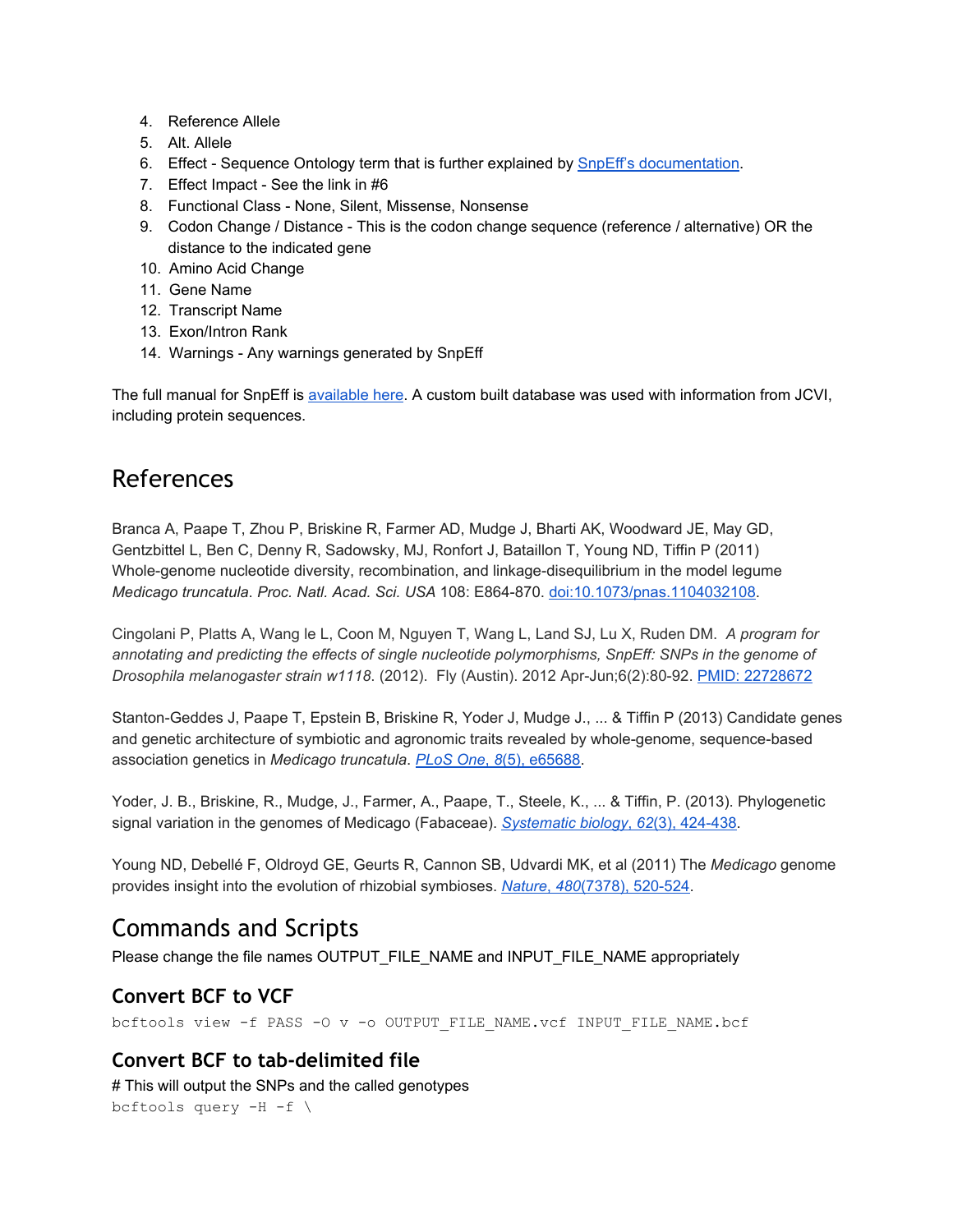- 4. Reference Allele
- 5. Alt. Allele
- 6. Effect Sequence Ontology term that is further explained by SnpEff's [documentation.](http://www.google.com/url?q=http%3A%2F%2Fsnpeff.sourceforge.net%2FSnpEff_manual.html%23eff&sa=D&sntz=1&usg=AFQjCNGYQae54B5xlXyMLpXtQICsghDEBw)
- 7. Effect Impact See the link in  $#6$
- 8. Functional Class None, Silent, Missense, Nonsense
- 9. Codon Change / Distance This is the codon change sequence (reference / alternative) OR the distance to the indicated gene
- 10. Amino Acid Change
- 11. Gene Name
- 12. Transcript Name
- 13. Exon/Intron Rank
- 14. Warnings Any warnings generated by SnpEff

The full manual for SnpEff is [available](http://www.google.com/url?q=http%3A%2F%2Fsnpeff.sourceforge.net%2FSnpEff_manual.html&sa=D&sntz=1&usg=AFQjCNE29UnqiSlSjnTKwGsInVKEj76Yqg) here. A custom built database was used with information from JCVI, including protein sequences.

#### References

Branca A, Paape T, Zhou P, Briskine R, Farmer AD, Mudge J, Bharti AK, Woodward JE, May GD, Gentzbittel L, Ben C, Denny R, Sadowsky, MJ, Ronfort J, Bataillon T, Young ND, Tiffin P (2011) Whole-genome nucleotide diversity, recombination, and linkage-disequilibrium in the model legume *Medicago truncatula*. *Proc. Natl. Acad. Sci. USA* 108: E864870. [doi:10.1073/pnas.1104032108.](http://www.google.com/url?q=http%3A%2F%2Fwww.pnas.org%2Fcontent%2F108%2F42%2FE864.full&sa=D&sntz=1&usg=AFQjCNHyUwlzXOVcFBZ52HSwt281xV6bfA)

Cingolani P, Platts A, Wang le L, Coon M, Nguyen T, Wang L, Land SJ, Lu X, Ruden DM. *A program for annotating and predicting the effects of single nucleotide polymorphisms, SnpEff: SNPs in the genome of Drosophila melanogaster strain w1118*. (2012). Fly (Austin). 2012 Apr-Jun;6(2):80-92. PMID: [22728672](http://www.google.com/url?q=http%3A%2F%2Fwww.ncbi.nlm.nih.gov%2Fpmc%2Farticles%2FPMC3679285%2F&sa=D&sntz=1&usg=AFQjCNGGlDiFeKYwI4Ko5buKLGmHpxFJQA)

Stanton-Geddes J, Paape T, Epstein B, Briskine R, Yoder J, Mudge J., ... & Tiffin P (2013) Candidate genes and genetic architecture of symbiotic and agronomic traits revealed by whole-genome, sequence-based association genetics in *Medicago truncatula*. *[PLoS](http://www.google.com/url?q=http%3A%2F%2Fwww.plosone.org%2Farticle%2Finfo%253Adoi%252F10.1371%252Fjournal.pone.0065688&sa=D&sntz=1&usg=AFQjCNGDzDK-mkx8cI6tTsCl_NLI_9xvBA) One*[,](http://www.google.com/url?q=http%3A%2F%2Fwww.plosone.org%2Farticle%2Finfo%253Adoi%252F10.1371%252Fjournal.pone.0065688&sa=D&sntz=1&usg=AFQjCNGDzDK-mkx8cI6tTsCl_NLI_9xvBA) *[8](http://www.google.com/url?q=http%3A%2F%2Fwww.plosone.org%2Farticle%2Finfo%253Adoi%252F10.1371%252Fjournal.pone.0065688&sa=D&sntz=1&usg=AFQjCNGDzDK-mkx8cI6tTsCl_NLI_9xvBA)*(5), [e65688.](http://www.google.com/url?q=http%3A%2F%2Fwww.plosone.org%2Farticle%2Finfo%253Adoi%252F10.1371%252Fjournal.pone.0065688&sa=D&sntz=1&usg=AFQjCNGDzDK-mkx8cI6tTsCl_NLI_9xvBA)

Yoder, J. B., Briskine, R., Mudge, J., Farmer, A., Paape, T., Steele, K., ... & Tiffin, P. (2013). Phylogenetic signal variation in the genomes of Medicago (Fabaceae). *[Systematic](http://www.google.com/url?q=http%3A%2F%2Fsysbio.oxfordjournals.org%2Fcontent%2F62%2F3%2F424&sa=D&sntz=1&usg=AFQjCNExXMTZj9CwKMvtnDmp3vsnF_HPGw) biology*[,](http://www.google.com/url?q=http%3A%2F%2Fsysbio.oxfordjournals.org%2Fcontent%2F62%2F3%2F424&sa=D&sntz=1&usg=AFQjCNExXMTZj9CwKMvtnDmp3vsnF_HPGw) *[62](http://www.google.com/url?q=http%3A%2F%2Fsysbio.oxfordjournals.org%2Fcontent%2F62%2F3%2F424&sa=D&sntz=1&usg=AFQjCNExXMTZj9CwKMvtnDmp3vsnF_HPGw)*(3), [424438.](http://www.google.com/url?q=http%3A%2F%2Fsysbio.oxfordjournals.org%2Fcontent%2F62%2F3%2F424&sa=D&sntz=1&usg=AFQjCNExXMTZj9CwKMvtnDmp3vsnF_HPGw)

Young ND, Debellé F, Oldroyd GE, Geurts R, Cannon SB, Udvardi MK, et al (2011) The *Medicago* genome provides insight into the evolution of rhizobial symbioses. *[Nature](http://www.google.com/url?q=http%3A%2F%2Fwww.nature.com%2Fnature%2Fjournal%2Fv480%2Fn7378%2Ffull%2Fnature10625.html&sa=D&sntz=1&usg=AFQjCNGf2uCltuwKzXBKRUQrCr05V4bwZA)*[,](http://www.google.com/url?q=http%3A%2F%2Fwww.nature.com%2Fnature%2Fjournal%2Fv480%2Fn7378%2Ffull%2Fnature10625.html&sa=D&sntz=1&usg=AFQjCNGf2uCltuwKzXBKRUQrCr05V4bwZA) [480](http://www.google.com/url?q=http%3A%2F%2Fwww.nature.com%2Fnature%2Fjournal%2Fv480%2Fn7378%2Ffull%2Fnature10625.html&sa=D&sntz=1&usg=AFQjCNGf2uCltuwKzXBKRUQrCr05V4bwZA)(7378), 520-524.

## Commands and Scripts

Please change the file names OUTPUT\_FILE\_NAME and INPUT\_FILE\_NAME appropriately

#### **Convert BCF to VCF**

bcftools view -f PASS -0 v -0 OUTPUT FILE NAME.vcf INPUT FILE NAME.bcf

#### **Convert BCF to tab-delimited file**

# This will output the SNPs and the called genotypes bcftools query  $-H - f \backslash$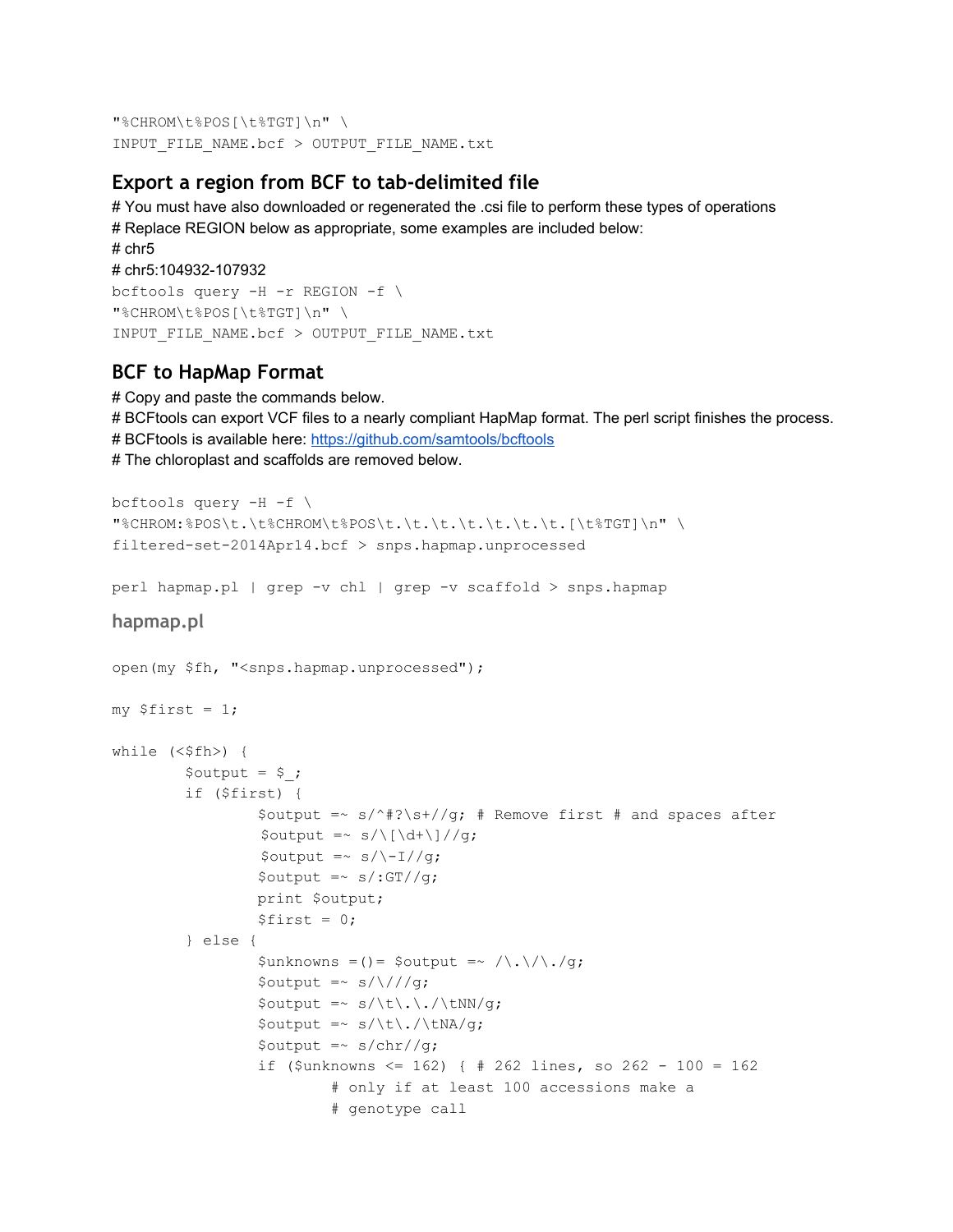"%CHROM\t%POS[\t%TGT]\n" \ INPUT\_FILE\_NAME.bcf > OUTPUT\_FILE\_NAME.txt

#### **Export a region from BCF to tab-delimited file**

# You must have also downloaded or regenerated the .csi file to perform these types of operations # Replace REGION below as appropriate, some examples are included below: # chr5 # chr5:104932-107932 bcftools query  $-H$  -r REGION  $-f \$ "%CHROM\t%POS[\t%TGT]\n" \ INPUT\_FILE\_NAME.bcf > OUTPUT\_FILE\_NAME.txt

#### **BCF to HapMap Format**

# Copy and paste the commands below. # BCFtools can export VCF files to a nearly compliant HapMap format. The perl script finishes the process. # BCFtools is available here: [https://github.com/samtools/bcftools](https://www.google.com/url?q=https%3A%2F%2Fgithub.com%2Fsamtools%2Fbcftools&sa=D&sntz=1&usg=AFQjCNHxZyu9WapJpZMrJL2UHPjJ14I8aA) # The chloroplast and scaffolds are removed below.

```
bcftools query -H -f \"%CHROM:%POS\t.\t%CHROM\t%POS\t.\t.\t.\t.\t.\t.[\t%TGT]\n" \
filtered-set-2014Apr14.bcf > snps.hapmap.unprocessed
```
perl hapmap.pl | grep -v chl | grep -v scaffold > snps.hapmap

```
hapmap.pl
```

```
open(my $fh, "<snps.hapmap.unprocessed");
my $first = 1;while (\leq$fh>) {
        $output = $ ;
        if ($first) {
                 $output =~ s/\hat{}+?\s+//g; # Remove first # and spaces after
                 $output = ~ s/\lceil d+\lceil d/\lceil g;$output =~ s/\1/Jg;$output =~ s/.GT//q;print $output;
                 $first = 0;} else {
                 $unknowns =() = $output = ~ / \ . / / \ . / g;$output =~ s/\lceil / /g;$output =~ s/\t\}.\\$output =~ s/\t\}./\t\MA/g;$output =~ s/chr//g;if ($unknowns <= 162) { # 262 lines, so 262 - 100 = 162# only if at least 100 accessions make a
                         # genotype call
```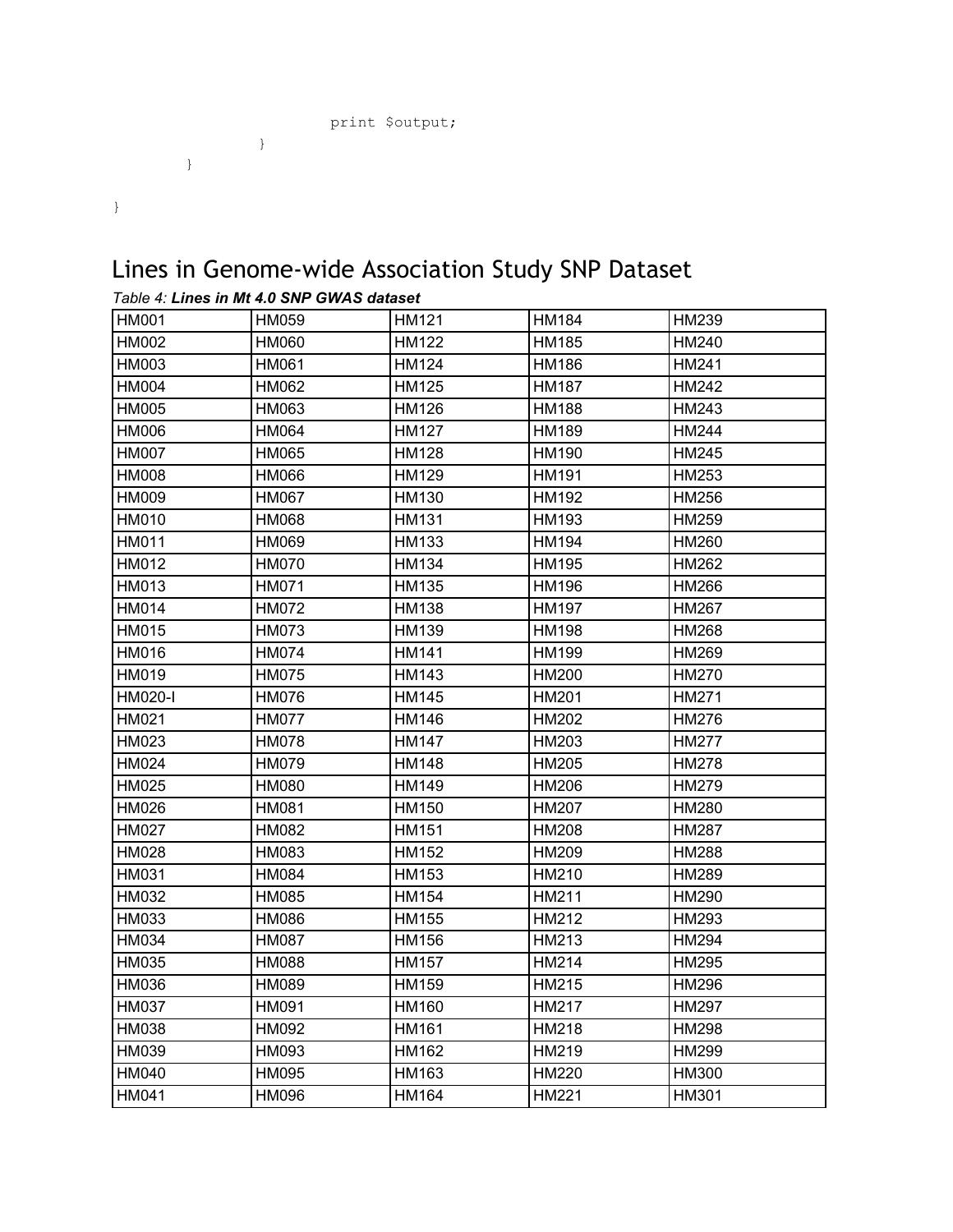```
print $output;
      }
}
```
#### }

# Lines in Genome-wide Association Study SNP Dataset

| <b>HM001</b>   | HM059        | <b>HM121</b> | <b>HM184</b> | HM239        |
|----------------|--------------|--------------|--------------|--------------|
| <b>HM002</b>   | <b>HM060</b> | <b>HM122</b> | <b>HM185</b> | HM240        |
| HM003          | <b>HM061</b> | <b>HM124</b> | <b>HM186</b> | <b>HM241</b> |
| <b>HM004</b>   | <b>HM062</b> | <b>HM125</b> | <b>HM187</b> | <b>HM242</b> |
| <b>HM005</b>   | HM063        | <b>HM126</b> | <b>HM188</b> | HM243        |
| HM006          | <b>HM064</b> | <b>HM127</b> | <b>HM189</b> | <b>HM244</b> |
| <b>HM007</b>   | <b>HM065</b> | <b>HM128</b> | <b>HM190</b> | HM245        |
| <b>HM008</b>   | <b>HM066</b> | <b>HM129</b> | <b>HM191</b> | HM253        |
| HM009          | <b>HM067</b> | <b>HM130</b> | <b>HM192</b> | HM256        |
| <b>HM010</b>   | HM068        | <b>HM131</b> | <b>HM193</b> | HM259        |
| <b>HM011</b>   | HM069        | <b>HM133</b> | <b>HM194</b> | HM260        |
| HM012          | <b>HM070</b> | <b>HM134</b> | <b>HM195</b> | HM262        |
| HM013          | <b>HM071</b> | HM135        | <b>HM196</b> | HM266        |
| HM014          | <b>HM072</b> | <b>HM138</b> | <b>HM197</b> | HM267        |
| <b>HM015</b>   | <b>HM073</b> | <b>HM139</b> | HM198        | <b>HM268</b> |
| HM016          | <b>HM074</b> | <b>HM141</b> | <b>HM199</b> | HM269        |
| HM019          | <b>HM075</b> | <b>HM143</b> | <b>HM200</b> | <b>HM270</b> |
| <b>HM020-I</b> | <b>HM076</b> | <b>HM145</b> | <b>HM201</b> | <b>HM271</b> |
| HM021          | <b>HM077</b> | <b>HM146</b> | <b>HM202</b> | <b>HM276</b> |
| HM023          | <b>HM078</b> | <b>HM147</b> | HM203        | <b>HM277</b> |
| <b>HM024</b>   | <b>HM079</b> | <b>HM148</b> | <b>HM205</b> | HM278        |
| <b>HM025</b>   | <b>HM080</b> | <b>HM149</b> | <b>HM206</b> | HM279        |
| HM026          | <b>HM081</b> | <b>HM150</b> | <b>HM207</b> | <b>HM280</b> |
| <b>HM027</b>   | <b>HM082</b> | <b>HM151</b> | <b>HM208</b> | <b>HM287</b> |
| <b>HM028</b>   | HM083        | <b>HM152</b> | <b>HM209</b> | <b>HM288</b> |
| HM031          | <b>HM084</b> | <b>HM153</b> | HM210        | HM289        |
| HM032          | <b>HM085</b> | <b>HM154</b> | HM211        | HM290        |
| HM033          | <b>HM086</b> | <b>HM155</b> | HM212        | HM293        |
| <b>HM034</b>   | <b>HM087</b> | <b>HM156</b> | HM213        | <b>HM294</b> |
| HM035          | <b>HM088</b> | <b>HM157</b> | HM214        | <b>HM295</b> |
| HM036          | HM089        | <b>HM159</b> | HM215        | <b>HM296</b> |
| <b>HM037</b>   | <b>HM091</b> | <b>HM160</b> | <b>HM217</b> | <b>HM297</b> |
| HM038          | <b>HM092</b> | <b>HM161</b> | <b>HM218</b> | <b>HM298</b> |
| HM039          | HM093        | <b>HM162</b> | HM219        | HM299        |
| HM040          | <b>HM095</b> | HM163        | <b>HM220</b> | HM300        |
| <b>HM041</b>   | <b>HM096</b> | HM164        | HM221        | HM301        |

| Table 4: Lines in Mt 4.0 SNP GWAS dataset |  |  |
|-------------------------------------------|--|--|
|                                           |  |  |